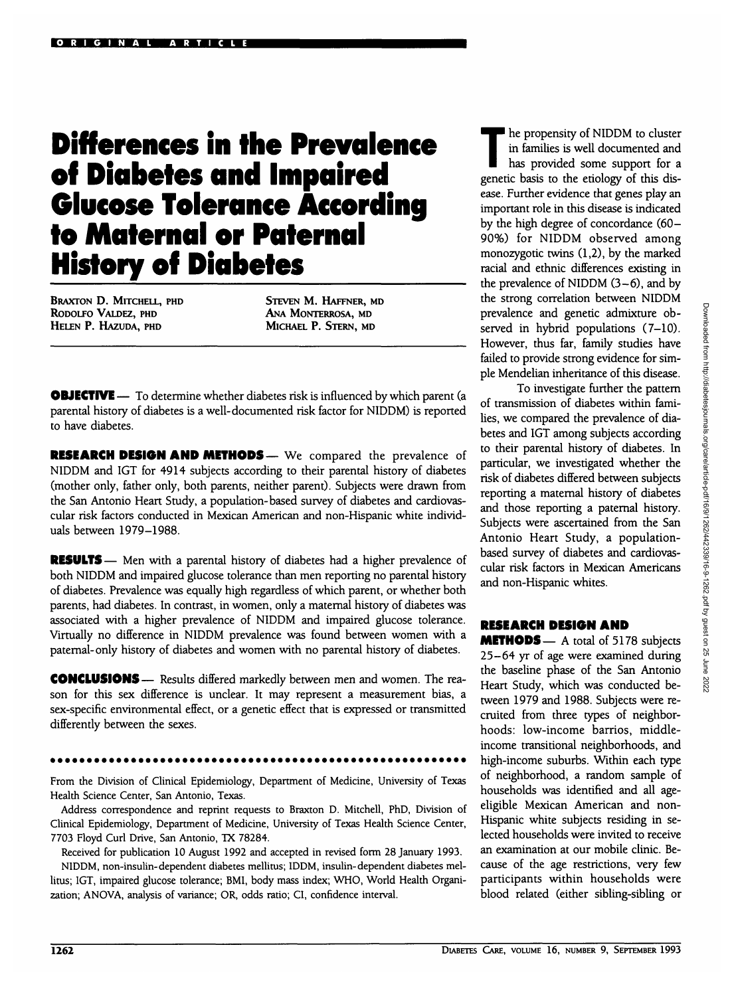# **Differences in the Prevalence of Diabetes and Impaired Glucose Tolerance According to Maternal or Paternal History of Diabetes**

BRAXTON D. MITCHELL, PHD RODOLFO VALDEZ, PHD HELEN P. HAZUDA, PHD

STEVEN M. HAFFNER, MD ANA MONTERROSA, MD MICHAEL P. STERN, MD

**OBJECTIVE** — To determine whether diabetes risk is influenced by which parent (a parental history of diabetes is a well-documented risk factor for NIDDM) is reported to have diabetes.

RESEARCH DESIGN AND METHODS - We compared the prevalence of NIDDM and IGT for 4914 subjects according to their parental history of diabetes (mother only, father only, both parents, neither parent). Subjects were drawn from the San Antonio Heart Study, a population-based survey of diabetes and cardiovascular risk factors conducted in Mexican American and non-Hispanic white individuals between 1979-1988.

RESULTS — Men with a parental history of diabetes had a higher prevalence of both NIDDM and impaired glucose tolerance than men reporting no parental history of diabetes. Prevalence was equally high regardless of which parent, or whether both parents, had diabetes. In contrast, in women, only a maternal history of diabetes was associated with a higher prevalence of NIDDM and impaired glucose tolerance. Virtually no difference in NIDDM prevalence was found between women with a paternal-only history of diabetes and women with no parental history of diabetes.

CONCLUSIONS— Results differed markedly between men and women. The reason for this sex difference is unclear. It may represent a measurement bias, a sex-specific environmental effect, or a genetic effect that is expressed or transmitted differently between the sexes.

From the Division of Clinical Epidemiology, Department of Medicine, University of Texas Health Science Center, San Antonio, Texas.

Address correspondence and reprint requests to Braxton D. Mitchell, PhD, Division of Clinical Epidemiology, Department of Medicine, University of Texas Health Science Center, 7703 Floyd Curl Drive, San Antonio, TX 78284.

Received for publication 10 August 1992 and accepted in revised form 28 January 1993. NIDDM, non-insulin-dependent diabetes mellitus; IDDM, insulin-dependent diabetes mellitus; IGT, impaired glucose tolerance; BMI, body mass index; WHO, World Health Organization; ANOVA, analysis of variance; OR, odds ratio; CI, confidence interval.

The propensity of NIDDM to cluster<br>in families is well documented and<br>has provided some support for a in families is well documented and has provided some support for a genetic basis to the etiology of this disease. Further evidence that genes play an important role in this disease is indicated by the high degree of concordance (60- 90%) for NIDDM observed among monozygotic twins (1,2), by the marked racial and ethnic differences existing in the prevalence of NIDDM  $(3-6)$ , and by the strong correlation between NIDDM prevalence and genetic admixture observed in hybrid populations  $(7-10)$ . However, thus far, family studies have failed to provide strong evidence for simple Mendelian inheritance of this disease.

To investigate further the pattern of transmission of diabetes within families, we compared the prevalence of diabetes and IGT among subjects according to their parental history of diabetes. In particular, we investigated whether the risk of diabetes differed between subjects reporting a maternal history of diabetes and those reporting a paternal history. Subjects were ascertained from the San Antonio Heart Study, a populationbased survey of diabetes and cardiovascular risk factors in Mexican Americans and non-Hispanic whites.

# RESEARCH DESIGN AND

METHODS— A total of 5178 subjects 25-64 yr of age were examined during the baseline phase of the San Antonio Heart Study, which was conducted between 1979 and 1988. Subjects were recruited from three types of neighborhoods: low-income barrios, middleincome transitional neighborhoods, and high-income suburbs. Within each type of neighborhood, a random sample of households was identified and all ageeligible Mexican American and non-Hispanic white subjects residing in selected households were invited to receive an examination at our mobile clinic. Because of the age restrictions, very few participants within households were blood related (either sibling-sibling or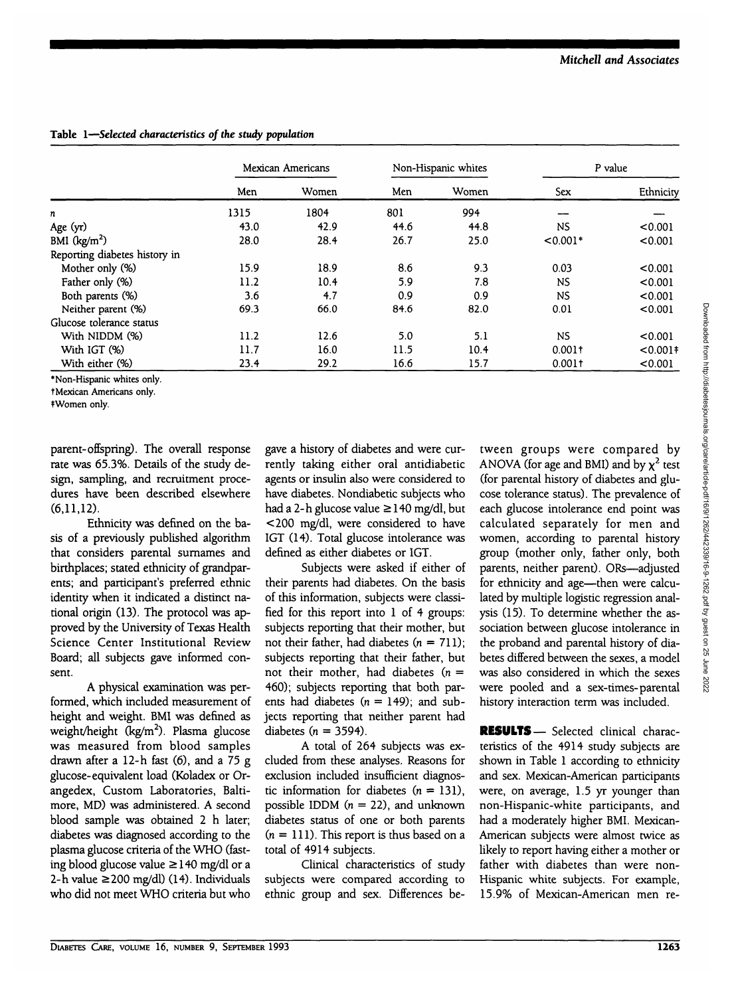|                               | Mexican Americans |       | Non-Hispanic whites |       | P value    |             |
|-------------------------------|-------------------|-------|---------------------|-------|------------|-------------|
|                               | Men               | Women | Men                 | Women | <b>Sex</b> | Ethnicity   |
| n                             | 1315              | 1804  | 801                 | 994   |            |             |
| Age (yr)                      | 43.0              | 42.9  | 44.6                | 44.8  | NS.        | < 0.001     |
| BMI $(kg/m2)$                 | 28.0              | 28.4  | 26.7                | 25.0  | $< 0.001*$ | < 0.001     |
| Reporting diabetes history in |                   |       |                     |       |            |             |
| Mother only (%)               | 15.9              | 18.9  | 8.6                 | 9.3   | 0.03       | < 0.001     |
| Father only (%)               | 11.2              | 10.4  | 5.9                 | 7.8   | NS.        | < 0.001     |
| Both parents (%)              | 3.6               | 4.7   | 0.9                 | 0.9   | NS.        | < 0.001     |
| Neither parent (%)            | 69.3              | 66.0  | 84.6                | 82.0  | 0.01       | < 0.001     |
| Glucose tolerance status      |                   |       |                     |       |            |             |
| With NIDDM (%)                | 11.2              | 12.6  | 5.0                 | 5.1   | <b>NS</b>  | < 0.001     |
| With IGT (%)                  | 11.7              | 16.0  | 11.5                | 10.4  | $0.001$ t  | $< 0.001$ † |
| With either (%)               | 23.4              | 29.2  | 16.6                | 15.7  | $0.001$ t  | < 0.001     |

**Table 1—***Selected characteristics of the study population*

\* Non-Hispanic whites only.

tMexican Americans only.

fWomen only.

parent-offspring). The overall response rate was 65.3%. Details of the study design, sampling, and recruitment procedures have been described elsewhere (6,11,12).

Ethnicity was defined on the basis of a previously published algorithm that considers parental surnames and birthplaces; stated ethnicity of grandparents; and participant's preferred ethnic identity when it indicated a distinct national origin (13). The protocol was approved by the University of Texas Health Science Center Institutional Review Board; all subjects gave informed consent.

A physical examination was performed, which included measurement of height and weight. BMl was defined as weight/height (kg/m<sup>2</sup>). Plasma glucose was measured from blood samples drawn after a 12-h fast (6), and a 75 g glucose-equivalent load (Koladex or Orangedex, Custom Laboratories, Baltimore, MD) was administered. A second blood sample was obtained 2 h later; diabetes was diagnosed according to the plasma glucose criteria of the WHO (fasting blood glucose value  $\geq$  140 mg/dl or a 2-h value  $\geq$  200 mg/dl) (14). Individuals who did not meet WHO criteria but who

gave a history of diabetes and were currently taking either oral antidiabetic agents or insulin also were considered to have diabetes. Nondiabetic subjects who had a 2-h glucose value  $\geq$  140 mg/dl, but <200 mg/dl, were considered to have IGT (14). Total glucose intolerance was defined as either diabetes or IGT.

Subjects were asked if either of their parents had diabetes. On the basis of this information, subjects were classified for this report into 1 of 4 groups: subjects reporting that their mother, but not their father, had diabetes  $(n = 711)$ ; subjects reporting that their father, but not their mother, had diabetes  $(n =$ 460); subjects reporting that both parents had diabetes  $(n = 149)$ ; and subjects reporting that neither parent had diabetes  $(n = 3594)$ .

A total of 264 subjects was excluded from these analyses. Reasons for exclusion included insufficient diagnostic information for diabetes  $(n = 131)$ , possible IDDM  $(n = 22)$ , and unknown diabetes status of one or both parents  $(n = 111)$ . This report is thus based on a total of 4914 subjects.

Clinical characteristics of study subjects were compared according to ethnic group and sex. Differences between groups were compared by ANOVA (for age and BMI) and by  $\chi^2$  test (for parental history of diabetes and glucose tolerance status). The prevalence of each glucose intolerance end point was calculated separately for men and women, according to parental history group (mother only, father only, both parents, neither parent). ORs—adjusted for ethnicity and age—then were calculated by multiple logistic regression analysis (15). To determine whether the association between glucose intolerance in the proband and parental history of diabetes differed between the sexes, a model was also considered in which the sexes were pooled and a sex-times-parental history interaction term was included.

RESULTS— Selected clinical characteristics of the 4914 study subjects are shown in Table 1 according to ethnicity and sex. Mexican-American participants were, on average, 1.5 yr younger than non-Hispanic-white participants, and had a moderately higher BML Mexican-American subjects were almost twice as likely to report having either a mother or father with diabetes than were non-Hispanic white subjects. For example, 15.9% of Mexican-American men re-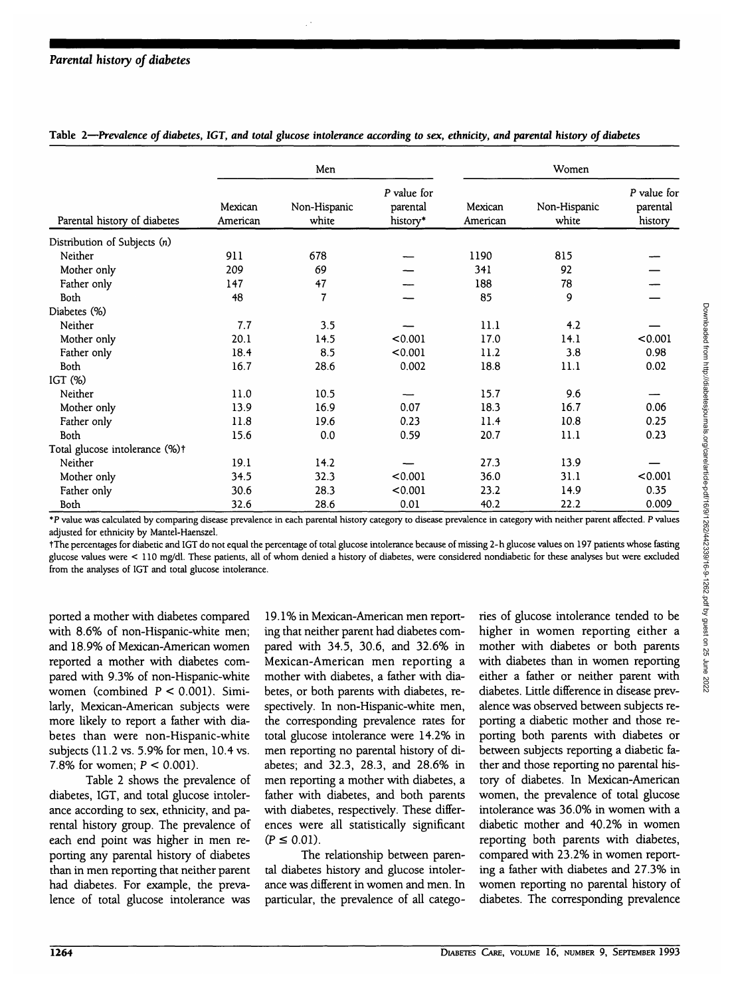| Parental history of diabetes               | Men                 |                       |                                     | Women               |                       |                                    |
|--------------------------------------------|---------------------|-----------------------|-------------------------------------|---------------------|-----------------------|------------------------------------|
|                                            | Mexican<br>American | Non-Hispanic<br>white | P value for<br>parental<br>history* | Mexican<br>American | Non-Hispanic<br>white | P value for<br>parental<br>history |
| Distribution of Subjects (n)               |                     |                       |                                     |                     |                       |                                    |
| Neither                                    | 911                 | 678                   |                                     | 1190                | 815                   |                                    |
| Mother only                                | 209                 | 69                    |                                     | 341                 | 92                    |                                    |
| Father only                                | 147                 | 47                    |                                     | 188                 | 78                    |                                    |
| Both                                       | 48                  | 7                     |                                     | 85                  | 9                     |                                    |
| Diabetes (%)                               |                     |                       |                                     |                     |                       |                                    |
| Neither                                    | 7.7                 | 3.5                   |                                     | 11.1                | 4.2                   |                                    |
| Mother only                                | 20.1                | 14.5                  | < 0.001                             | 17.0                | 14.1                  | < 0.001                            |
| Father only                                | 18.4                | 8.5                   | < 0.001                             | 11.2                | 3.8                   | 0.98                               |
| Both                                       | 16.7                | 28.6                  | 0.002                               | 18.8                | 11.1                  | 0.02                               |
| IGT $(\%)$                                 |                     |                       |                                     |                     |                       |                                    |
| Neither                                    | 11.0                | 10.5                  |                                     | 15.7                | 9.6                   |                                    |
| Mother only                                | 13.9                | 16.9                  | 0.07                                | 18.3                | 16.7                  | 0.06                               |
| Father only                                | 11.8                | 19.6                  | 0.23                                | 11.4                | 10.8                  | 0.25                               |
| Both                                       | 15.6                | 0.0                   | 0.59                                | 20.7                | 11.1                  | 0.23                               |
| Total glucose intolerance (%) <sup>†</sup> |                     |                       |                                     |                     |                       |                                    |
| Neither                                    | 19.1                | 14.2                  |                                     | 27.3                | 13.9                  |                                    |
| Mother only                                | 34.5                | 32.3                  | < 0.001                             | 36.0                | 31.1                  | < 0.001                            |
| Father only                                | 30.6                | 28.3                  | < 0.001                             | 23.2                | 14.9                  | 0.35                               |
| Both                                       | 32.6                | 28.6                  | 0.01                                | 40.2                | 22.2                  | 0.009                              |

## **Table 2—***Prevalence of diabetes, IGT, and total glucose intolerance according to sex, ethnicity, and parental history of diabetes*

\*P value was calculated by comparing disease prevalence in each parental history category to disease prevalence in category with neither parent affected. P values adjusted for ethnicity by Mantel-Haenszel.

tThe percentages for diabetic and IGT do not equal the percentage of total glucose intolerance because of missing 2-h glucose values on 197 patients whose fasting glucose values were < 110 mg/dl. These patients, all of whom denied a history of diabetes, were considered nondiabetic for these analyses but were excluded from the analyses of IGT and total glucose intolerance.

ported a mother with diabetes compared with 8.6% of non-Hispanic-white men; and 18.9% of Mexican-American women reported a mother with diabetes compared with 9.3% of non-Hispanic-white women (combined  $P < 0.001$ ). Similarly, Mexican-American subjects were more likely to report a father with diabetes than were non-Hispanic-white subjects (11.2 vs. 5.9% for men, 10.4 vs. 7.8% for women;  $P < 0.001$ ).

Table 2 shows the prevalence of diabetes, IGT, and total glucose intolerance according to sex, ethnicity, and parental history group. The prevalence of each end point was higher in men reporting any parental history of diabetes than in men reporting that neither parent had diabetes. For example, the prevalence of total glucose intolerance was

19.1% in Mexican-American men reporting that neither parent had diabetes compared with 34.5, 30.6, and 32.6% in Mexican-American men reporting a mother with diabetes, a father with diabetes, or both parents with diabetes, respectively. In non-Hispanic-white men, the corresponding prevalence rates for total glucose intolerance were 14.2% in men reporting no parental history of diabetes; and 32.3, 28.3, and 28.6% in men reporting a mother with diabetes, a father with diabetes, and both parents with diabetes, respectively. These differences were all statistically significant  $(P \le 0.01)$ .

The relationship between parental diabetes history and glucose intolerance was different in women and men. In particular, the prevalence of all categories of glucose intolerance tended to be higher in women reporting either a mother with diabetes or both parents with diabetes than in women reporting either a father or neither parent with diabetes. Little difference in disease prevalence was observed between subjects reporting a diabetic mother and those reporting both parents with diabetes or between subjects reporting a diabetic father and those reporting no parental history of diabetes. In Mexican-American women, the prevalence of total glucose intolerance was 36.0% in women with a diabetic mother and 40.2% in women reporting both parents with diabetes, compared with 23.2% in women reporting a father with diabetes and 27.3% in women reporting no parental history of diabetes. The corresponding prevalence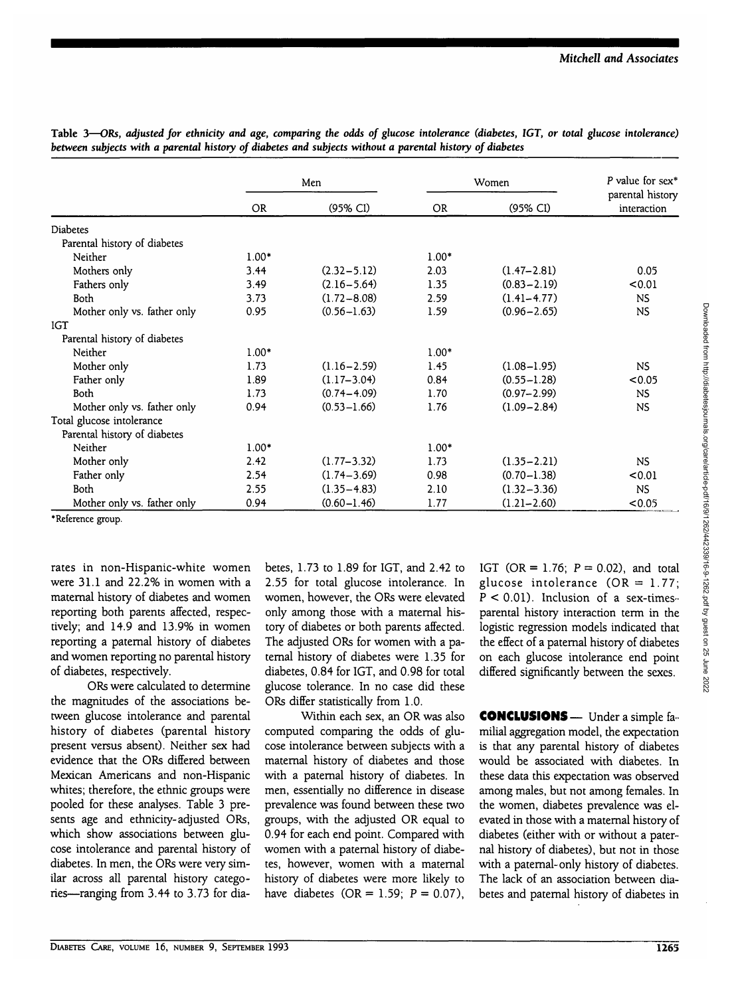|                              | Men       |                 | Women   |                 | P value for sex*                |
|------------------------------|-----------|-----------------|---------|-----------------|---------------------------------|
|                              | <b>OR</b> | (95% CI)        | OR      | (95% CI)        | parental history<br>interaction |
| <b>Diabetes</b>              |           |                 |         |                 |                                 |
| Parental history of diabetes |           |                 |         |                 |                                 |
| Neither                      | $1.00*$   |                 | $1.00*$ |                 |                                 |
| Mothers only                 | 3.44      | $(2.32 - 5.12)$ | 2.03    | $(1.47 - 2.81)$ | 0.05                            |
| Fathers only                 | 3.49      | $(2.16 - 5.64)$ | 1.35    | $(0.83 - 2.19)$ | < 0.01                          |
| Both                         | 3.73      | $(1.72 - 8.08)$ | 2.59    | $(1.41 - 4.77)$ | <b>NS</b>                       |
| Mother only vs. father only  | 0.95      | $(0.56 - 1.63)$ | 1.59    | $(0.96 - 2.65)$ | NS.                             |
| IGT                          |           |                 |         |                 |                                 |
| Parental history of diabetes |           |                 |         |                 |                                 |
| Neither                      | $1.00*$   |                 | $1.00*$ |                 |                                 |
| Mother only                  | 1.73      | $(1.16 - 2.59)$ | 1.45    | $(1.08 - 1.95)$ | NS                              |
| Father only                  | 1.89      | $(1.17 - 3.04)$ | 0.84    | $(0.55 - 1.28)$ | < 0.05                          |
| Both                         | 1.73      | $(0.74 - 4.09)$ | 1.70    | $(0.97 - 2.99)$ | <b>NS</b>                       |
| Mother only vs. father only  | 0.94      | $(0.53 - 1.66)$ | 1.76    | $(1.09 - 2.84)$ | NS.                             |
| Total glucose intolerance    |           |                 |         |                 |                                 |
| Parental history of diabetes |           |                 |         |                 |                                 |
| Neither                      | $1.00*$   |                 | $1.00*$ |                 |                                 |
| Mother only                  | 2.42      | $(1.77 - 3.32)$ | 1.73    | $(1.35 - 2.21)$ | NS.                             |
| Father only                  | 2.54      | $(1.74 - 3.69)$ | 0.98    | $(0.70 - 1.38)$ | < 0.01                          |
| Both                         | 2.55      | $(1.35 - 4.83)$ | 2.10    | $(1.32 - 3.36)$ | <b>NS</b>                       |
| Mother only vs. father only  | 0.94      | $(0.60 - 1.46)$ | 1.77    | $(1.21 - 2.60)$ | < 0.05                          |

**Table 3—***ORs, adjusted for ethnicity and age, comparing the odds of glucose intolerance (diabetes, IGT, or total glucose intolerance) between subjects with a parental history of diabetes and subjects without a parental history of diabetes*

\* Reference group.

rates in non-Hispanic-white women were 31.1 and 22.2% in women with a maternal history of diabetes and women reporting both parents affected, respectively; and 14.9 and 13.9% in women reporting a paternal history of diabetes and women reporting no parental history of diabetes, respectively.

ORs were calculated to determine the magnitudes of the associations between glucose intolerance and parental history of diabetes (parental history present versus absent). Neither sex had evidence that the ORs differed between Mexican Americans and non-Hispanic whites; therefore, the ethnic groups were pooled for these analyses. Table 3 presents age and ethnicity-adjusted ORs, which show associations between glucose intolerance and parental history of diabetes. In men, the ORs were very similar across all parental history categories—ranging from 3.44 to 3.73 for diabetes, 1.73 to 1.89 for IGT, and 2.42 to 2.55 for total glucose intolerance. In women, however, the ORs were elevated only among those with a maternal history of diabetes or both parents affected. The adjusted ORs for women with a paternal history of diabetes were 1.35 for diabetes, 0.84 for IGT, and 0.98 for total glucose tolerance. In no case did these ORs differ statistically from 1.0.

Within each sex, an OR was also computed comparing the odds of glucose intolerance between subjects with a maternal history of diabetes and those with a paternal history of diabetes. In men, essentially no difference in disease prevalence was found between these two groups, with the adjusted OR equal to 0.94 for each end point. Compared with women with a paternal history of diabetes, however, women with a maternal history of diabetes were more likely to have diabetes  $(OR = 1.59; P = 0.07)$ ,

IGT (OR = 1.76;  $P = 0.02$ ), and total glucose intolerance  $(OR = 1.77)$ ;  $P < 0.01$ ). Inclusion of a sex-timesparental history interaction term in the logistic regression models indicated that the effect of a paternal history of diabetes on each glucose intolerance end point differed significantly between the sexes.

**CONCLUSIONS—** Under a simple familial aggregation model, the expectation is that any parental history of diabetes would be associated with diabetes. In these data this expectation was observed among males, but not among females. In the women, diabetes prevalence was elevated in those with a maternal history of diabetes (either with or without a paternal history of diabetes), but not in those with a paternal-only history of diabetes. The lack of an association between diabetes and paternal history of diabetes in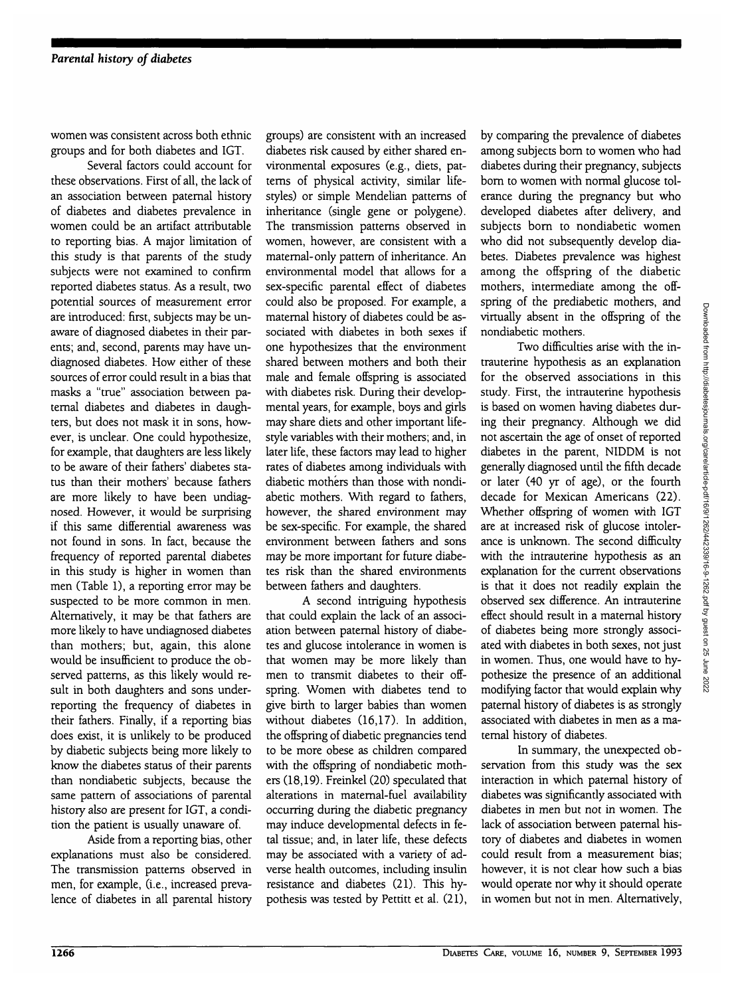women was consistent across both ethnic groups and for both diabetes and IGT.

Several factors could account for these observations. First of all, the lack of an association between paternal history of diabetes and diabetes prevalence in women could be an artifact attributable to reporting bias. A major limitation of this study is that parents of the study subjects were not examined to confirm reported diabetes status. As a result, two potential sources of measurement error are introduced: first, subjects may be unaware of diagnosed diabetes in their parents; and, second, parents may have undiagnosed diabetes. How either of these sources of error could result in a bias that masks a "true" association between paternal diabetes and diabetes in daughters, but does not mask it in sons, however, is unclear. One could hypothesize, for example, that daughters are less likely to be aware of their fathers' diabetes status than their mothers' because fathers are more likely to have been undiagnosed. However, it would be surprising if this same differential awareness was not found in sons. In fact, because the frequency of reported parental diabetes in this study is higher in women than men (Table 1), a reporting error may be suspected to be more common in men. Alternatively, it may be that fathers are more likely to have undiagnosed diabetes than mothers; but, again, this alone would be insufficient to produce the observed patterns, as this likely would result in both daughters and sons underreporting the frequency of diabetes in their fathers. Finally, if a reporting bias  $\frac{d}{dx}$  and  $\frac{d}{dx}$  is understood be produced by  $\frac{d}{dx}$ by diabetic subjects being more produced by diabetic subjects being more likely to know the diabetes status of their parents than nondiabetic subjects, because the than nondiabelic subjects, because the same pattern of associations of paternal history also are present for IGT, a condition the patient is usually unaware of.

Aside from a reporting bias, other explanations must also be considered. The transmission patterns observed in men, for example, (i.e., increased prevalence of diabetes in all parental history

groups) are consistent with an increased diabetes risk caused by either shared environmental exposures (e.g., diets, patterns of physical activity, similar lifestyles) or simple Mendelian patterns of inheritance (single gene or polygene). The transmission patterns observed in women, however, are consistent with a maternal-only pattern of inheritance. An environmental model that allows for a sex-specific parental effect of diabetes could also be proposed. For example, a maternal history of diabetes could be associated with diabetes in both sexes if one hypothesizes that the environment shared between mothers and both their male and female offspring is associated with diabetes risk. During their developmental years, for example, boys and girls may share diets and other important lifestyle variables with their mothers; and, in later life, these factors may lead to higher rates of diabetes among individuals with diabetic mothers than those with nondiabetic mothers. With regard to fathers, however, the shared environment may be sex-specific. For example, the shared environment between fathers and sons may be more important for future diabetes risk than the shared environments between fathers and daughters.

A second intriguing hypothesis that could explain the lack of an association between paternal history of diabetes and glucose intolerance in women is that women may be more likely than men to transmit diabetes to their offspring. Women with diabetes tend to give birth to larger babies than women without diabetes (16,17). In addition, the offspring of diabetic pregnancies tend to be more obese as children compared with the offspring of nondiabetic mothers (18,19). Freinkel (20) speculated that alterations in maternal-fuel availability occurring during the diabetic pregnancy may induce developmental defects in fetal tissue; and, in later life, these defects may be associated with a variety of adverse health outcomes, including insulin resistance and diabetes (21). This hypothesis was tested by Pettitt et al. (21),

by comparing the prevalence of diabetes among subjects born to women who had diabetes during their pregnancy, subjects born to women with normal glucose tolerance during the pregnancy but who developed diabetes after delivery, and subjects born to nondiabetic women who did not subsequently develop diabetes. Diabetes prevalence was highest among the offspring of the diabetic mothers, intermediate among the offspring of the prediabetic mothers, and virtually absent in the offspring of the nondiabetic mothers.

Two difficulties arise with the intrauterine hypothesis as an explanation for the observed associations in this study. First, the intrauterine hypothesis is based on women having diabetes during their pregnancy. Although we did not ascertain the age of onset of reported diabetes in the parent, NIDDM is not generally diagnosed until the fifth decade or later (40 yr of age), or the fourth decade for Mexican Americans (22). Whether offspring of women with IGT are at increased risk of glucose intolerance is unknown. The second difficulty with the intrauterine hypothesis as an explanation for the current observations is that it does not readily explain the observed sex difference. An intrauterine effect should result in a maternal history of diabetes being more strongly associated with diabetes in both sexes, not just in women. Thus, one would have to hypothesize the presence of an additional modifying factor that would explain why paternal history of diabetes is as strongly associated with diabetes in men as a maternal history of diabetes.

In summary, the unexpected observation from this study was the sex interaction in which paternal history of diabetes was significantly associated with diabetes in men but not in women. The lack of association between paternal history of diabetes and diabetes in women could result from a measurement bias; however, it is not clear how such a bias would operate nor why it should operate in women but not in men. Alternatively,